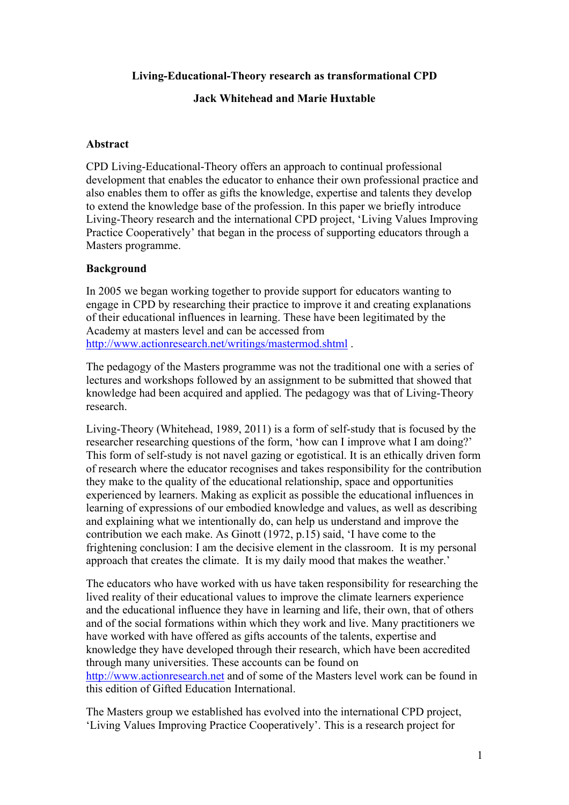**Living-Educational-Theory research as transformational CPD**

# **Jack Whitehead and Marie Huxtable**

## **Abstract**

CPD Living-Educational-Theory offers an approach to continual professional development that enables the educator to enhance their own professional practice and also enables them to offer as gifts the knowledge, expertise and talents they develop to extend the knowledge base of the profession. In this paper we briefly introduce Living-Theory research and the international CPD project, 'Living Values Improving Practice Cooperatively' that began in the process of supporting educators through a Masters programme.

# **Background**

In 2005 we began working together to provide support for educators wanting to engage in CPD by researching their practice to improve it and creating explanations of their educational influences in learning. These have been legitimated by the Academy at masters level and can be accessed from http://www.actionresearch.net/writings/mastermod.shtml .

The pedagogy of the Masters programme was not the traditional one with a series of lectures and workshops followed by an assignment to be submitted that showed that knowledge had been acquired and applied. The pedagogy was that of Living-Theory research.

Living-Theory (Whitehead, 1989, 2011) is a form of self-study that is focused by the researcher researching questions of the form, 'how can I improve what I am doing?' This form of self-study is not navel gazing or egotistical. It is an ethically driven form of research where the educator recognises and takes responsibility for the contribution they make to the quality of the educational relationship, space and opportunities experienced by learners. Making as explicit as possible the educational influences in learning of expressions of our embodied knowledge and values, as well as describing and explaining what we intentionally do, can help us understand and improve the contribution we each make. As Ginott (1972, p.15) said, 'I have come to the frightening conclusion: I am the decisive element in the classroom. It is my personal approach that creates the climate. It is my daily mood that makes the weather.'

The educators who have worked with us have taken responsibility for researching the lived reality of their educational values to improve the climate learners experience and the educational influence they have in learning and life, their own, that of others and of the social formations within which they work and live. Many practitioners we have worked with have offered as gifts accounts of the talents, expertise and knowledge they have developed through their research, which have been accredited through many universities. These accounts can be found on http://www.actionresearch.net and of some of the Masters level work can be found in this edition of Gifted Education International.

The Masters group we established has evolved into the international CPD project, 'Living Values Improving Practice Cooperatively'. This is a research project for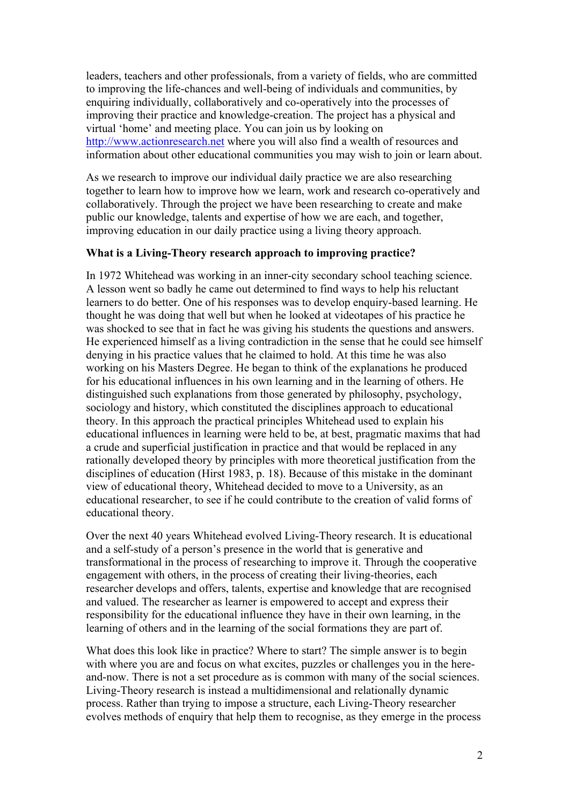leaders, teachers and other professionals, from a variety of fields, who are committed to improving the life-chances and well-being of individuals and communities, by enquiring individually, collaboratively and co-operatively into the processes of improving their practice and knowledge-creation. The project has a physical and virtual 'home' and meeting place. You can join us by looking on http://www.actionresearch.net where you will also find a wealth of resources and information about other educational communities you may wish to join or learn about.

As we research to improve our individual daily practice we are also researching together to learn how to improve how we learn, work and research co-operatively and collaboratively. Through the project we have been researching to create and make public our knowledge, talents and expertise of how we are each, and together, improving education in our daily practice using a living theory approach.

#### **What is a Living-Theory research approach to improving practice?**

In 1972 Whitehead was working in an inner-city secondary school teaching science. A lesson went so badly he came out determined to find ways to help his reluctant learners to do better. One of his responses was to develop enquiry-based learning. He thought he was doing that well but when he looked at videotapes of his practice he was shocked to see that in fact he was giving his students the questions and answers. He experienced himself as a living contradiction in the sense that he could see himself denying in his practice values that he claimed to hold. At this time he was also working on his Masters Degree. He began to think of the explanations he produced for his educational influences in his own learning and in the learning of others. He distinguished such explanations from those generated by philosophy, psychology, sociology and history, which constituted the disciplines approach to educational theory. In this approach the practical principles Whitehead used to explain his educational influences in learning were held to be, at best, pragmatic maxims that had a crude and superficial justification in practice and that would be replaced in any rationally developed theory by principles with more theoretical justification from the disciplines of education (Hirst 1983, p. 18). Because of this mistake in the dominant view of educational theory, Whitehead decided to move to a University, as an educational researcher, to see if he could contribute to the creation of valid forms of educational theory.

Over the next 40 years Whitehead evolved Living-Theory research. It is educational and a self-study of a person's presence in the world that is generative and transformational in the process of researching to improve it. Through the cooperative engagement with others, in the process of creating their living-theories, each researcher develops and offers, talents, expertise and knowledge that are recognised and valued. The researcher as learner is empowered to accept and express their responsibility for the educational influence they have in their own learning, in the learning of others and in the learning of the social formations they are part of.

What does this look like in practice? Where to start? The simple answer is to begin with where you are and focus on what excites, puzzles or challenges you in the hereand-now. There is not a set procedure as is common with many of the social sciences. Living-Theory research is instead a multidimensional and relationally dynamic process. Rather than trying to impose a structure, each Living-Theory researcher evolves methods of enquiry that help them to recognise, as they emerge in the process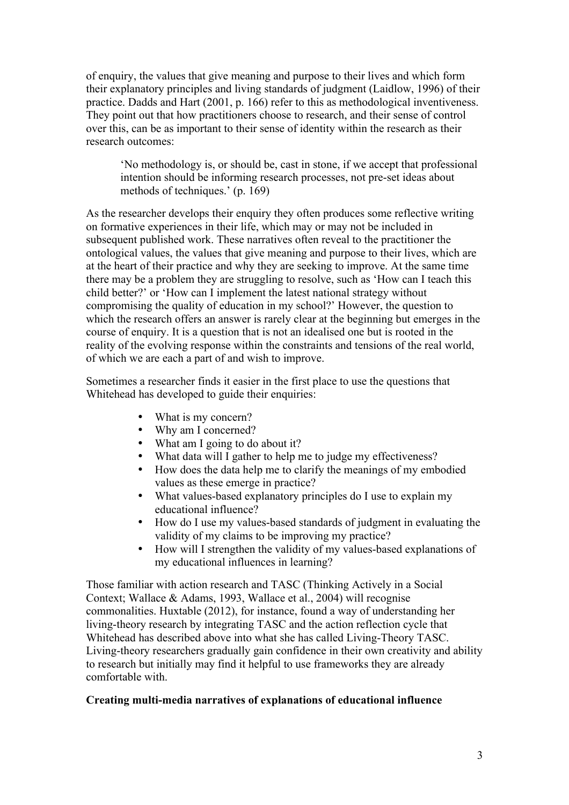of enquiry, the values that give meaning and purpose to their lives and which form their explanatory principles and living standards of judgment (Laidlow, 1996) of their practice. Dadds and Hart (2001, p. 166) refer to this as methodological inventiveness. They point out that how practitioners choose to research, and their sense of control over this, can be as important to their sense of identity within the research as their research outcomes:

'No methodology is, or should be, cast in stone, if we accept that professional intention should be informing research processes, not pre-set ideas about methods of techniques.' (p. 169)

As the researcher develops their enquiry they often produces some reflective writing on formative experiences in their life, which may or may not be included in subsequent published work. These narratives often reveal to the practitioner the ontological values, the values that give meaning and purpose to their lives, which are at the heart of their practice and why they are seeking to improve. At the same time there may be a problem they are struggling to resolve, such as 'How can I teach this child better?' or 'How can I implement the latest national strategy without compromising the quality of education in my school?' However, the question to which the research offers an answer is rarely clear at the beginning but emerges in the course of enquiry. It is a question that is not an idealised one but is rooted in the reality of the evolving response within the constraints and tensions of the real world, of which we are each a part of and wish to improve.

Sometimes a researcher finds it easier in the first place to use the questions that Whitehead has developed to guide their enquiries:

- What is my concern?
- Why am I concerned?
- What am I going to do about it?
- What data will  $\overline{I}$  gather to help me to judge my effectiveness?<br>• How does the data help me to clarify the meanings of my emb
- How does the data help me to clarify the meanings of my embodied values as these emerge in practice?
- What values-based explanatory principles do I use to explain my educational influence?
- How do I use my values-based standards of judgment in evaluating the validity of my claims to be improving my practice?
- How will I strengthen the validity of my values-based explanations of my educational influences in learning?

Those familiar with action research and TASC (Thinking Actively in a Social Context; Wallace & Adams, 1993, Wallace et al., 2004) will recognise commonalities. Huxtable (2012), for instance, found a way of understanding her living-theory research by integrating TASC and the action reflection cycle that Whitehead has described above into what she has called Living-Theory TASC. Living-theory researchers gradually gain confidence in their own creativity and ability to research but initially may find it helpful to use frameworks they are already comfortable with.

#### **Creating multi-media narratives of explanations of educational influence**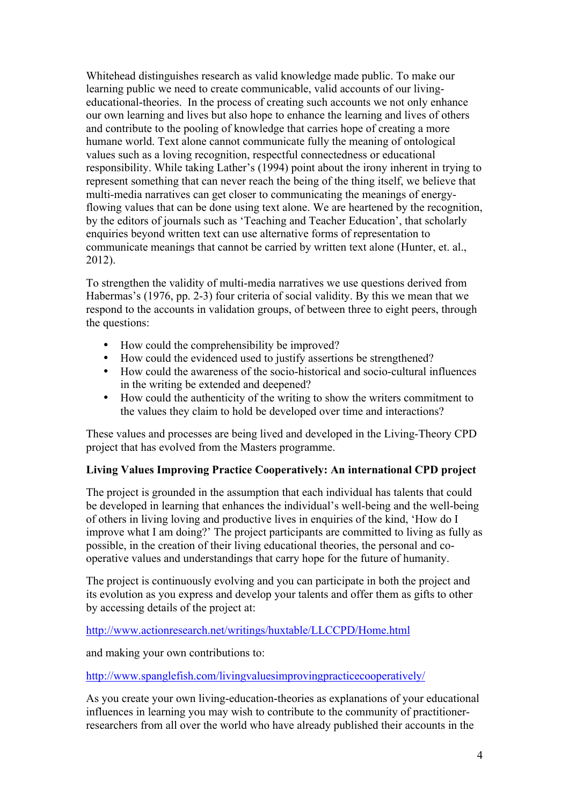Whitehead distinguishes research as valid knowledge made public. To make our learning public we need to create communicable, valid accounts of our livingeducational-theories. In the process of creating such accounts we not only enhance our own learning and lives but also hope to enhance the learning and lives of others and contribute to the pooling of knowledge that carries hope of creating a more humane world. Text alone cannot communicate fully the meaning of ontological values such as a loving recognition, respectful connectedness or educational responsibility. While taking Lather's (1994) point about the irony inherent in trying to represent something that can never reach the being of the thing itself, we believe that multi-media narratives can get closer to communicating the meanings of energyflowing values that can be done using text alone. We are heartened by the recognition, by the editors of journals such as 'Teaching and Teacher Education', that scholarly enquiries beyond written text can use alternative forms of representation to communicate meanings that cannot be carried by written text alone (Hunter, et. al., 2012).

To strengthen the validity of multi-media narratives we use questions derived from Habermas's (1976, pp. 2-3) four criteria of social validity. By this we mean that we respond to the accounts in validation groups, of between three to eight peers, through the questions:

- How could the comprehensibility be improved?
- How could the evidenced used to justify assertions be strengthened?
- How could the awareness of the socio-historical and socio-cultural influences in the writing be extended and deepened?
- How could the authenticity of the writing to show the writers commitment to the values they claim to hold be developed over time and interactions?

These values and processes are being lived and developed in the Living-Theory CPD project that has evolved from the Masters programme.

# **Living Values Improving Practice Cooperatively: An international CPD project**

The project is grounded in the assumption that each individual has talents that could be developed in learning that enhances the individual's well-being and the well-being of others in living loving and productive lives in enquiries of the kind, 'How do I improve what I am doing?' The project participants are committed to living as fully as possible, in the creation of their living educational theories, the personal and cooperative values and understandings that carry hope for the future of humanity.

The project is continuously evolving and you can participate in both the project and its evolution as you express and develop your talents and offer them as gifts to other by accessing details of the project at:

# http://www.actionresearch.net/writings/huxtable/LLCCPD/Home.html

and making your own contributions to:

http://www.spanglefish.com/livingvaluesimprovingpracticecooperatively/

As you create your own living-education-theories as explanations of your educational influences in learning you may wish to contribute to the community of practitionerresearchers from all over the world who have already published their accounts in the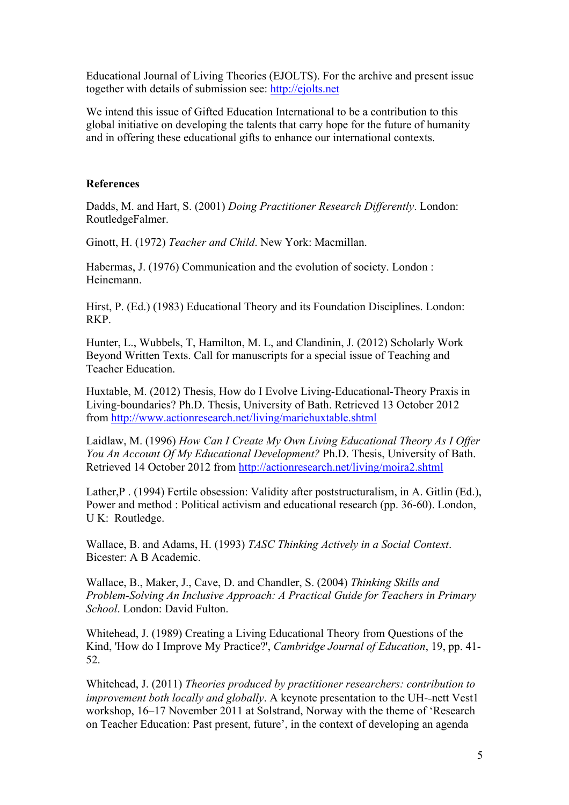Educational Journal of Living Theories (EJOLTS). For the archive and present issue together with details of submission see: http://ejolts.net

We intend this issue of Gifted Education International to be a contribution to this global initiative on developing the talents that carry hope for the future of humanity and in offering these educational gifts to enhance our international contexts.

### **References**

Dadds, M. and Hart, S. (2001) *Doing Practitioner Research Differently*. London: RoutledgeFalmer.

Ginott, H. (1972) *Teacher and Child*. New York: Macmillan.

Habermas, J. (1976) Communication and the evolution of society. London : Heinemann.

Hirst, P. (Ed.) (1983) Educational Theory and its Foundation Disciplines. London: RKP.

Hunter, L., Wubbels, T, Hamilton, M. L, and Clandinin, J. (2012) Scholarly Work Beyond Written Texts. Call for manuscripts for a special issue of Teaching and Teacher Education.

Huxtable, M. (2012) Thesis, How do I Evolve Living-Educational-Theory Praxis in Living-boundaries? Ph.D. Thesis, University of Bath. Retrieved 13 October 2012 from http://www.actionresearch.net/living/mariehuxtable.shtml

Laidlaw, M. (1996) *How Can I Create My Own Living Educational Theory As I Offer You An Account Of My Educational Development?* Ph.D. Thesis, University of Bath. Retrieved 14 October 2012 from http://actionresearch.net/living/moira2.shtml

Lather,P . (1994) Fertile obsession: Validity after poststructuralism, in A. Gitlin (Ed.), Power and method : Political activism and educational research (pp. 36-60). London, U K: Routledge.

Wallace, B. and Adams, H. (1993) *TASC Thinking Actively in a Social Context*. Bicester: A B Academic.

Wallace, B., Maker, J., Cave, D. and Chandler, S. (2004) *Thinking Skills and Problem-Solving An Inclusive Approach: A Practical Guide for Teachers in Primary School*. London: David Fulton.

Whitehead, J. (1989) Creating a Living Educational Theory from Questions of the Kind, 'How do I Improve My Practice?', *Cambridge Journal of Education*, 19, pp. 41- 52.

Whitehead, J. (2011) *Theories produced by practitioner researchers: contribution to improvement both locally and globally*. A keynote presentation to the UH--nett Vest1 workshop, 16–17 November 2011 at Solstrand, Norway with the theme of 'Research on Teacher Education: Past present, future', in the context of developing an agenda